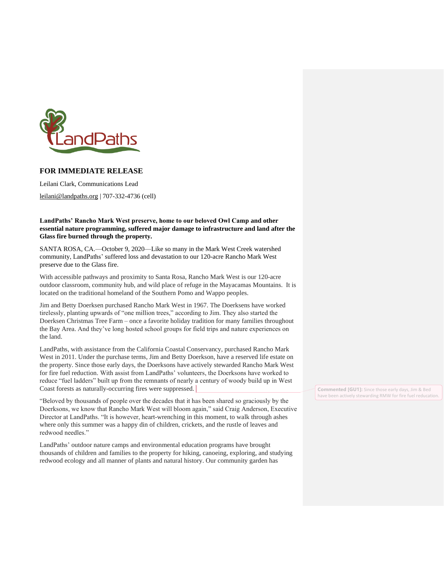

## **FOR IMMEDIATE RELEASE**

Leilani Clark, Communications Lead

[leilani@landpaths.org](mailto:leilani@landpaths.org) | 707-332-4736 (cell)

**LandPaths' Rancho Mark West preserve, home to our beloved Owl Camp and other essential nature programming, suffered major damage to infrastructure and land after the Glass fire burned through the property.** 

SANTA ROSA, CA.—October 9, 2020—Like so many in the Mark West Creek watershed community, LandPaths' suffered loss and devastation to our 120-acre Rancho Mark West preserve due to the Glass fire.

With accessible pathways and proximity to Santa Rosa, Rancho Mark West is our 120-acre outdoor classroom, community hub, and wild place of refuge in the Mayacamas Mountains. It is located on the traditional homeland of the Southern Pomo and Wappo peoples.

Jim and Betty Doerksen purchased Rancho Mark West in 1967. The Doerksens have worked tirelessly, planting upwards of "one million trees," according to Jim. They also started the Doerksen Christmas Tree Farm – once a favorite holiday tradition for many families throughout the Bay Area. And they've long hosted school groups for field trips and nature experiences on the land.

LandPaths, with assistance from the California Coastal Conservancy, purchased Rancho Mark West in 2011. Under the purchase terms, Jim and Betty Doerkson, have a reserved life estate on the property. Since those early days, the Doerksons have actively stewarded Rancho Mark West for fire fuel reduction. With assist from LandPaths' volunteers, the Doerksons have worked to reduce "fuel ladders" built up from the remnants of nearly a century of woody build up in West Coast forests as naturally-occurring fires were suppressed.

"Beloved by thousands of people over the decades that it has been shared so graciously by the Doerksons, we know that Rancho Mark West will bloom again," said Craig Anderson, Executive Director at LandPaths. "It is however, heart-wrenching in this moment, to walk through ashes where only this summer was a happy din of children, crickets, and the rustle of leaves and redwood needles."

LandPaths' outdoor nature camps and environmental education programs have brought thousands of children and families to the property for hiking, canoeing, exploring, and studying redwood ecology and all manner of plants and natural history. Our community garden has

**Commented [GU1]:** Since those early days, Jim & Bed have been actively stewarding RMW for fire fuel reducation.